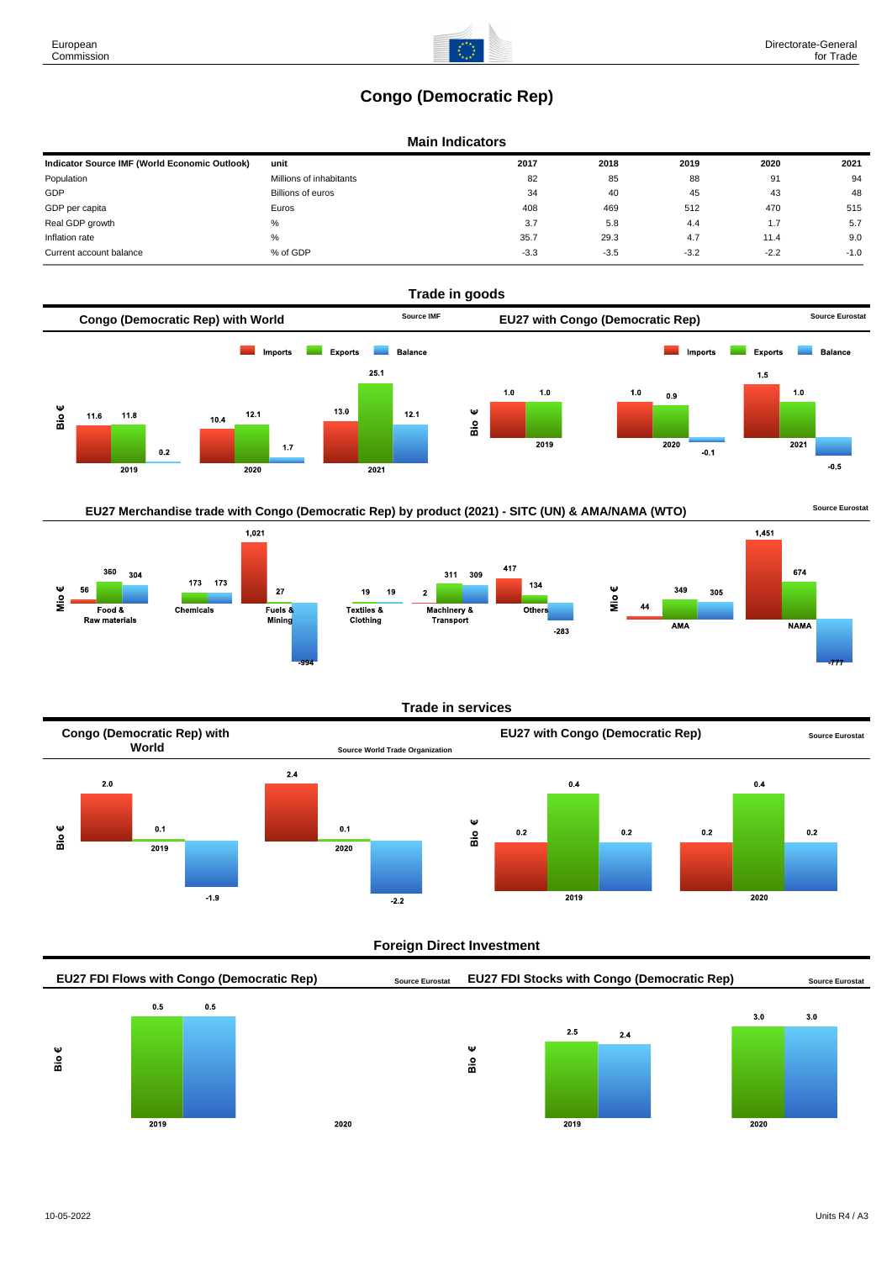# **Congo (Democratic Rep)**

# **Main Indicators**

| Indicator Source IMF (World Economic Outlook) | unit                    | 2017   | 2018   | 2019   | 2020   | 2021   |
|-----------------------------------------------|-------------------------|--------|--------|--------|--------|--------|
| Population                                    | Millions of inhabitants | 82     | 85     | 88     | 91     | 94     |
| GDP                                           | Billions of euros       | 34     | 40     | 45     | 43     | 48     |
| GDP per capita                                | Euros                   | 408    | 469    | 512    | 470    | 515    |
| Real GDP growth                               | %                       | 3.7    | 5.8    | 4.4    | 1.7    | 5.7    |
| Inflation rate                                | $\%$                    | 35.7   | 29.3   | 4.7    | 11.4   | 9.0    |
| Current account balance                       | % of GDP                | $-3.3$ | $-3.5$ | $-3.2$ | $-2.2$ | $-1.0$ |



## **EU27 Merchandise trade with Congo (Democratic Rep) by product (2021) - SITC (UN) & AMA/NAMA (WTO) Source Eurostat**



#### **Trade in services**



#### **Foreign Direct Investment**



European Commission